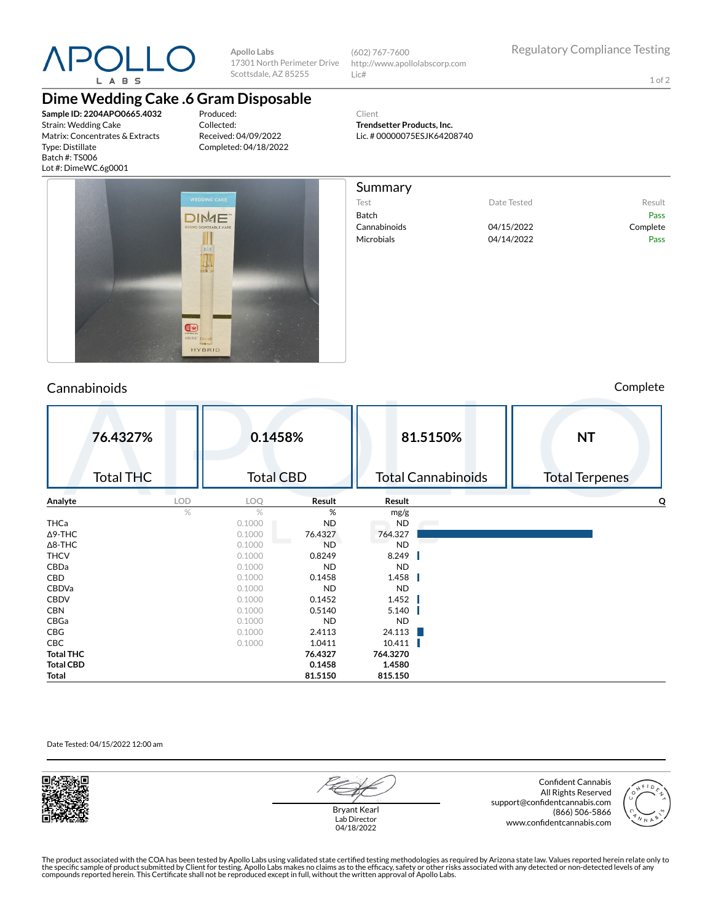

**Apollo Labs** 17301 North Perimeter Drive Scottsdale, AZ 85255

(602) 767-7600 http://www.apollolabscorp.com Lic#

> **Trendsetter Products, Inc.** Lic. # 00000075ESJK64208740

Client

Summary

Test **Date Tested** Result Batch Pass Cannabinoids 04/15/2022 Complete Microbials 04/14/2022 Pass

1 of 2

## **Dime Wedding Cake .6 Gram Disposable**

**Sample ID: 2204APO0665.4032** Strain: Wedding Cake Matrix: Concentrates & Extracts Type: Distillate Batch #: TS006 Lot #: DimeWC.6g0001

Produced: Collected: Received: 04/09/2022 Completed: 04/18/2022



## Cannabinoids Complete

|                  | 76.4327%<br><b>Total THC</b> |            | 0.1458%<br><b>Total CBD</b> |           | 81.5150%<br><b>Total Cannabinoids</b> | <b>NT</b><br><b>Total Terpenes</b> |  |
|------------------|------------------------------|------------|-----------------------------|-----------|---------------------------------------|------------------------------------|--|
| Analyte          |                              | <b>LOD</b> | LOQ                         | Result    | Result                                | O                                  |  |
|                  |                              | $\%$       | %                           | %         | mg/g                                  |                                    |  |
| THCa             |                              |            | 0.1000                      | <b>ND</b> | <b>ND</b>                             |                                    |  |
| $\Delta$ 9-THC   |                              |            | 0.1000                      | 76.4327   | 764.327                               |                                    |  |
| $\Delta$ 8-THC   |                              |            | 0.1000                      | <b>ND</b> | <b>ND</b>                             |                                    |  |
| <b>THCV</b>      |                              |            | 0.1000                      | 0.8249    | 8.249                                 |                                    |  |
| CBDa             |                              |            | 0.1000                      | <b>ND</b> | <b>ND</b>                             |                                    |  |
| CBD              |                              |            | 0.1000                      | 0.1458    | 1.458                                 |                                    |  |
| CBDVa            |                              |            | 0.1000                      | <b>ND</b> | <b>ND</b>                             |                                    |  |
| CBDV             |                              |            | 0.1000                      | 0.1452    | 1.452                                 |                                    |  |
| <b>CBN</b>       |                              |            | 0.1000                      | 0.5140    | 5.140                                 |                                    |  |
| CBGa             |                              |            | 0.1000                      | <b>ND</b> | <b>ND</b>                             |                                    |  |
| CBG              |                              |            | 0.1000                      | 2.4113    | 24.113                                |                                    |  |
| CBC              |                              |            | 0.1000                      | 1.0411    | 10.411                                |                                    |  |
| <b>Total THC</b> |                              |            |                             | 76.4327   | 764.3270                              |                                    |  |
| <b>Total CBD</b> |                              |            |                             | 0.1458    | 1.4580                                |                                    |  |
| Total            |                              |            |                             | 81.5150   | 815.150                               |                                    |  |

#### Date Tested: 04/15/2022 12:00 am



Bryant Kearl Lab Director 04/18/2022

Confident Cannabis All Rights Reserved support@confidentcannabis.com (866) 506-5866 www.confidentcannabis.com



The product associated with the COA has been tested by Apollo Labs using validated state certified testing methodologies as required by Arizona state law. Values reported herein relate only to<br>the specific sample of produc